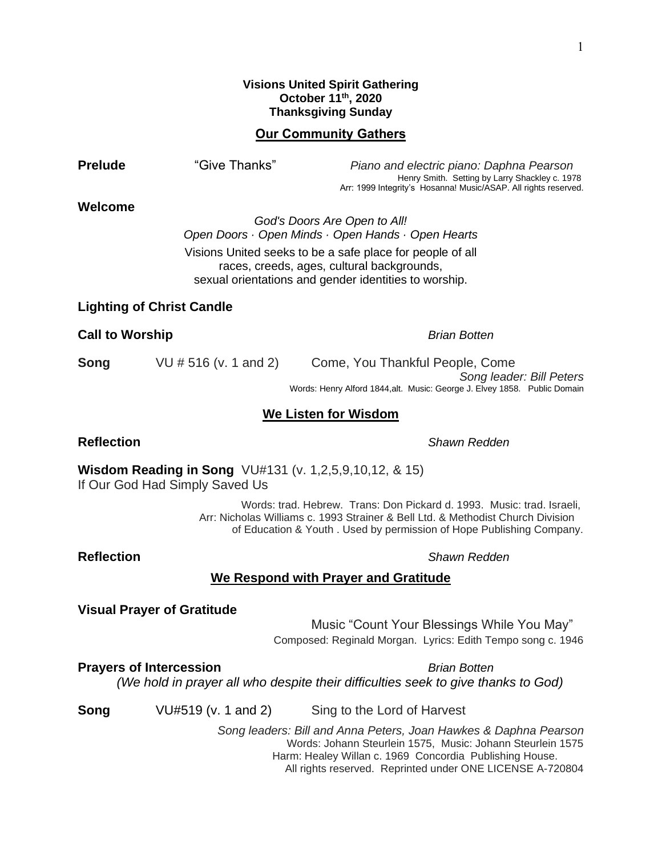## **Visions United Spirit Gathering October 11th , 2020 Thanksgiving Sunday**

## **Our Community Gathers**

**Prelude** "Give Thanks" *Piano and electric piano: Daphna Pearson* Henry Smith. Setting by Larry Shackley c. 1978 Arr: 1999 Integrity's Hosanna! Music/ASAP. All rights reserved. **Welcome** *God's Doors Are Open to All! Open Doors · Open Minds · Open Hands · Open Hearts* Visions United seeks to be a safe place for people of all races, creeds, ages, cultural backgrounds, sexual orientations and gender identities to worship. **Lighting of Christ Candle Call to Worship** *Brian Botten* **Song** VU # 516 (v. 1 and 2) Come, You Thankful People, Come **We Listen for Wisdom Reflection** *Shawn Redden* **Wisdom Reading in Song** VU#131 (v. 1,2,5,9,10,12, & 15) If Our God Had Simply Saved Us Words: trad. Hebrew. Trans: Don Pickard d. 1993. Music: trad. Israeli, Arr: Nicholas Williams c. 1993 Strainer & Bell Ltd. & Methodist Church Division of Education & Youth . Used by permission of Hope Publishing Company. **Reflection** *Shawn Redden* **We Respond with Prayer and Gratitude Visual Prayer of Gratitude** Music "Count Your Blessings While You May" Composed: Reginald Morgan. Lyrics: Edith Tempo song c. 1946 **Prayers of Intercession** *Brian Botten (We hold in prayer all who despite their difficulties seek to give thanks to God)* **Song** VU#519 (v. 1 and 2) Sing to the Lord of Harvest *Song leaders: Bill and Anna Peters, Joan Hawkes & Daphna Pearson* Words: Johann Steurlein 1575, Music: Johann Steurlein 1575 Harm: Healey Willan c. 1969 Concordia Publishing House.

All rights reserved. Reprinted under ONE LICENSE A-720804

*Song leader: Bill Peters* Words: Henry Alford 1844,alt. Music: George J. Elvey 1858. Public Domain

1